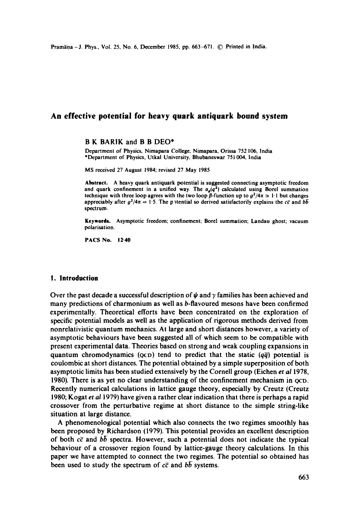## **An effective potential for heavy quark antiquark bound system**

**B K** BARIK and **B B** DEO\*

Department of Physics, Nimapara College, Nimapara, Orissa 752 106, India \*Department of Physics, Utkal University, Bhubaneswar 751 004, India

MS received 27 August 1984; revised 27 May 1985

Abstract. A heavy quark antiquark potential is suggested connecting asymptotic freedom and quark confinement in a unified way. The  $\alpha_a(q^2)$  calculated using Borel summation technique with three loop agrees with the two loop  $\beta$ -function up to  $g^2/4\pi \simeq 1.1$  but changes appreciably after  $g^2/4\pi = 1.5$ . The potential so derived satisfactorily explains the  $c\bar{c}$  and  $b\bar{b}$ spectrum.

Keywords. Asymptotic freedom; confinement; Borel summation; Landau ghost; vacuum polarisation.

PACS No. 12-40

#### **1. Introduction**

Over the past decade a successful description of  $\psi$  and  $\gamma$  families has been achieved and many predictions of charmonium as well as b-flavoured mesons have been confirmed experimentally. Theoretical efforts have been concentrated on the exploration of specific potential models as well as the application of rigorous methods derived from nonrelativistic quantum mechanics. At large and short distances however, a variety of asymptotic behaviours have been suggested all of which seem to be compatible with present experimental data. Theories based on strong and weak coupling expansions in quantum chromodynamics ( $QCD$ ) tend to predict that the static ( $q\bar{q}$ ) potential is coulombic at short distances. The potential obtained by a simple superposition of both asymptotic limits has been studied extensively by the Cornell group (Eichen *et al* 1978, 1980). There is as yet no clear understanding of the confinement mechanism in QcD. Recently numerical calculations in lattice gauge theory, especially by Creutz (Creutz 1980; Kogat *et al* 1979) have given a rather clear indication that there is perhaps a rapid crossover from the perturbative regime at short distance to the simple string-like situation at large distance.

A phenomenological potential which also connects the two regimes smoothly has been proposed by Richardson (1979). This potential provides an excellent description of both  $c\bar{c}$  and  $b\bar{b}$  spectra. However, such a potential does not indicate the typical behaviour of a crossover region found by lattice-gauge theory calculations. In this paper we have attempted to connect the two regimes. The potential so obtained has been used to study the spectrum of  $c\bar{c}$  and  $b\bar{b}$  systems.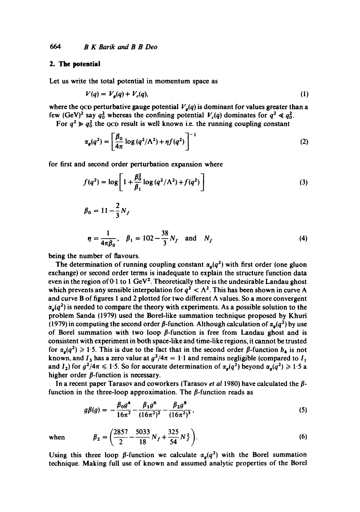# **2. The potential**

Let us write the total potential in momentum space as

$$
V(q) = V_g(q) + V_c(q),\tag{1}
$$

where the <sub>Q</sub>co perturbative gauge potential  $V_g(q)$  is dominant for values greater than a few (GeV)<sup>2</sup> say  $q_0^2$  whereas the confining potential  $V_c(q)$  dominates for  $q^2 \ll q_0^2$ .

For  $q^2 \geq q_0^2$  the QCD result is well known i.e. the running coupling constant

$$
\alpha_g(q^2) = \left[\frac{\beta_0}{4\pi} \log (q^2/\Lambda^2) + \eta f(q^2)\right]^{-1}
$$
 (2)

for first and second order perturbation expansion where

$$
f(q^2) = \log \left[ 1 + \frac{\beta_0^2}{\beta_1} \log (q^2/\Lambda^2) + f(q^2) \right]
$$
 (3)

$$
\beta_0 = 11 - \frac{2}{3} N_f
$$
  
\n
$$
\eta = \frac{1}{4\pi \beta_0}, \quad \beta_1 = 102 - \frac{38}{3} N_f \quad \text{and} \quad N_f
$$
 (4)

being the number of flavours.

The determination of running coupling constant  $\alpha_q(q^2)$  with first order (one gluon exchange) or second order terms is inadequate to explain the structure function data even in the region of 0-1 to 1 GeV<sup>2</sup>. Theoretically there is the undesirable Landau ghost which prevents any sensible interpolation for  $q^2 < \Lambda^2$ . This has been shown in curve A and curve B of figures 1 and 2 plotted for two different  $\Lambda$  values. So a more convergent  $\alpha_q(q^2)$  is needed to compare the theory with experiments. As a possible solution to the problem Sanda (1979) used the Borel-like summation technique proposed by Khuri (1979) in computing the second order  $\beta$ -function. Although calculation of  $\alpha_a(q^2)$  by use of Borel summation with two loop  $\beta$ -function is free from Landau ghost and is consistent with experiment in both space-like and time-like regions, it cannot be trusted for  $\alpha_q(q^2) \geq 1.5$ . This is due to the fact that in the second order  $\beta$ -function  $b_4$  is not known, and  $I_3$  has a zero value at  $g^2/4\pi = 1.1$  and remains negligible (compared to  $I_1$ ) and  $I_2$ ) for  $g^2/4\pi \leq 1.5$ . So for accurate determination of  $\alpha_q(q^2)$  beyond  $\alpha_q(q^2) \geq 1.5$  a higher order  $\beta$ -function is necessary.

In a recent paper Tarasov and coworkers (Tarasov *et al* 1980) have calculated the  $\beta$ function in the three-loop approximation. The  $\beta$ -function reads as

$$
g\beta(g) = -\frac{\beta_0 g^4}{16\pi^2} - \frac{\beta_1 g^6}{(16\pi^2)^2} - \frac{\beta_2 g^8}{(16\pi^2)^3},
$$
\n(5)

when 
$$
\beta_2 = \left(\frac{2857}{2} - \frac{5033}{18}N_f + \frac{325}{54}N_f^2\right).
$$
 (6)

Using this three loop  $\beta$ -function we calculate  $\alpha_q(q^2)$  with the Borel summation technique. Making full use of known and assumed analytic properties of the Borei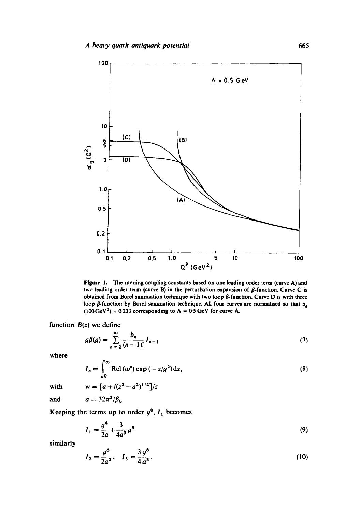

Figure 1. The running coupling constants based on one leading order term (curve A) and two leading order term (curve B) in the perturbation expansion of  $\beta$ -function. Curve C is obtained from Borel summation technique with two loop  $\beta$ -function. Curve D is with three loop  $\beta$ -function by Borel summation technique. All four curves are normalised so that  $\alpha_a$  $(100 \text{ GeV}^2) = 0.233$  corresponding to  $\Lambda = 0.5 \text{ GeV}$  for curve A.

function  $B(z)$  we define

$$
g\beta(g) = \sum_{n=2}^{\infty} \frac{b_n}{(n-1)!} I_{n-1}
$$
 (7)

where

$$
I_n = \int_0^\infty \text{Rel}(\omega^n) \exp(-z/g^2) dz,
$$
 (8)

with  $w = [a + i(z^2 - a^2)^{1/2}]/z$ 

and 
$$
a = 32\pi^2/\beta_0
$$

Keeping the terms up to order  $g^8$ ,  $I_1$  becomes

$$
I_1 = \frac{g^4}{2a} + \frac{3}{4a^3} g^8
$$
 (9)

similarly

$$
I_2 = \frac{g^6}{2a^2}, \quad I_3 = \frac{3}{4}\frac{g^8}{a^3}.
$$
 (10)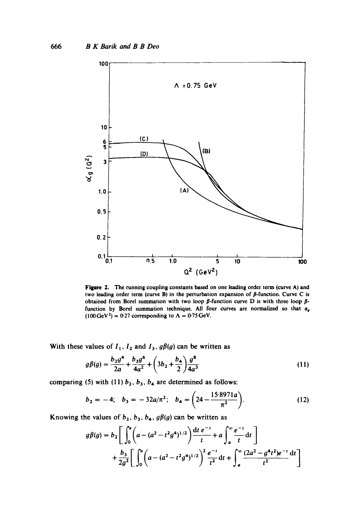

Figure 2. The running coupling constants based on one leading order term (curve A) and two leading order term (curve B) in the perturbation expansion of  $\beta$ -function. Curve C is obtained from Borel summation with two loop  $\beta$ -function curve D is with three loop  $\beta$ function by Borel summation technique. All four curves are normalized so that  $\alpha_g$  $(100 \,\text{GeV}^2) = 0.27$  corresponding to  $\Lambda = 0.75 \,\text{GeV}$ .

With these values of  $I_1$ ,  $I_2$  and  $I_3$ ,  $g\beta(g)$  can be written as

$$
g\beta(g) = \frac{b_2g^4}{2a} + \frac{b_3g^6}{4a^2} + \left(3b_2 + \frac{b_4}{2}\right)\frac{g^8}{4a^3}
$$
 (11)

comparing (5) with (11)  $b_2$ ,  $b_3$ ,  $b_4$  are determined as follows:

$$
b_2 = -4; \quad b_3 = -32a/\pi^2; \quad b_4 = \left(24 - \frac{15.8971a}{\pi^2}\right).
$$
 (12)

Knowing the values of  $b_2$ ,  $b_3$ ,  $b_4$ ,  $g\beta(g)$  can be written as

$$
g\beta(g) = b_2 \left[ \int_0^a \left( a - (a^2 - t^2 g^4)^{1/2} \right) \frac{dt e^{-t}}{t} + a \int_a^{\infty} \frac{e^{-t}}{t} dt \right] + \frac{b_3}{2g^2} \left[ \int_0^a \left( a - (a^2 - t^2 g^4)^{1/2} \right)^2 \frac{e^{-t}}{t^2} dt + \int_a^{\infty} \frac{(2a^2 - g^4 t^2)e^{-t}}{t^2} dt \right]
$$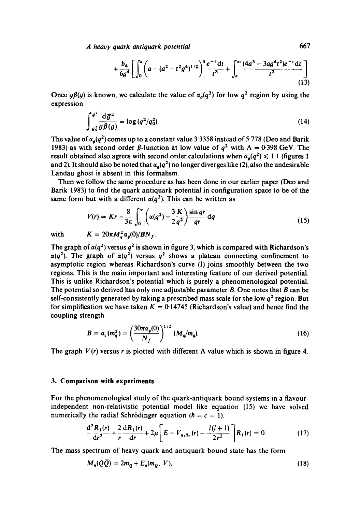*A heavy quark antiquark potential* 667

$$
+\frac{b_4}{6g^4}\left[\int_0^a \left(a-(a^2-t^2g^4)^{1/2}\right)^3\frac{e^{-t}\,dt}{t^3}+\int_a^\infty \frac{(4a^3-3ag^4t^2)e^{-t}\,dt}{t^3}\right]
$$
(13)

Once  $g\beta(g)$  is known, we calculate the value of  $\alpha_q(q^2)$  for low  $q^2$  region by using the expression

$$
\int_{\vec{g}\,\vec{\delta}}^{\vec{g}^2} \frac{\mathrm{d}\,\vec{g}^2}{\theta\,\theta(g)} = \log\,(q^2/q_0^2). \tag{14}
$$

The value of  $\alpha_q(q^2)$  comes up to a constant value 3.3358 instead of 5.778 (Deo and Barik 1983) as with second order  $\beta$ -function at low value of  $q^2$  with  $\Lambda = 0.398$  GeV. The result obtained also agrees with second order calculations when  $\alpha_a(q^2) \leq 1.1$  (figures 1) and 2). It should also be noted that  $\alpha_q(q^2)$  no longer diverges like (2), also the undesirable Landau ghost is absent in this formalism.

Then we follow the same procedure as has been done in our earlier paper (Deo and Barik 1983) to find the quark antiquark potential in configuration space to be of the same form but with a different  $\alpha(q^2)$ . This can be written as

$$
V(r) = Kr - \frac{8}{3\pi} \int_0^\infty \left( \alpha(q^2) - \frac{3K}{2q^2} \right) \frac{\sin qr}{qr} dq
$$
 (15)

with 
$$
K = 20\pi M_q^2 \alpha_g(0)/BN_f.
$$

The graph of  $\alpha(q^2)$  versus  $q^2$  is shown in figure 3, which is compared with Richardson's  $\alpha(q^2)$ . The graph of  $\alpha(q^2)$  versus  $q^2$  shows a plateau connecting confinement to asymptotic region whereas Richardson's curve (I) joins smoothly between the two regions. This is the main important and interesting feature of our derived potential. This is unlike Richardson's potential which is purely a phenomenologicai potential. The potential so derived has only one adjustable parameter B. One notes that B can be self-consistently generated by taking a prescribed mass scale for the low  $q^2$  region. But for simplification we have taken  $K = 0.14745$  (Richardson's value) and hence find the coupling strength

$$
B = \alpha_c(m_q^2) = \left(\frac{30\pi\alpha_g(0)}{N_f}\right)^{1/2} (M_q/m_q).
$$
 (16)

The graph  $V(r)$  versus r is plotted with different  $\Lambda$  value which is shown in figure 4.

## **3. Comparison with experiments**

For the phenomenological study of the quark-antiquark bound systems in a flavourindependent non-relativistic potential model like equation (15) we have solved numerically the radial Schrödinger equation ( $\hbar = c = 1$ ).

$$
\frac{d^2R_1(r)}{dr^2} + \frac{2}{r}\frac{dR_1(r)}{dr} + 2\mu \left[E - V_{q_1\bar{q}_2}(r) - \frac{l(l+1)}{2r^2}\right]R_1(r) = 0.
$$
 (17)

The mass spectrum of heavy quark and antiquark bound state has the form

$$
M_n(Q\overline{Q}) = 2m_Q + E_n(m_Q, V),\tag{18}
$$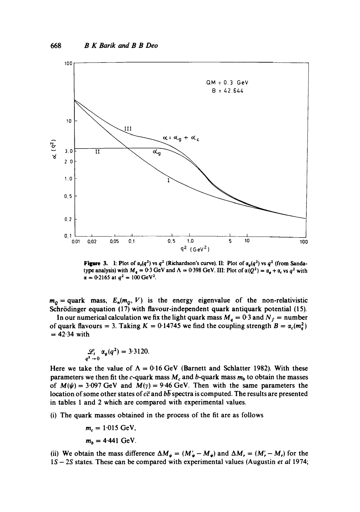

Figure 3. I: Plot of  $\alpha_s(q^2)$  vs  $q^2$  (Richardson's curve). II: Plot of  $\alpha_s(q^2)$  vs  $q^2$  (from Sandatype analysis) with  $M_q = 0.3$  GeV and  $\Lambda = 0.398$  GeV. III: Plot of  $\alpha(Q^2) = \alpha_q + \alpha_c$  vs  $q^2$  with  $\alpha = 0.2165$  at  $q^2 = 100$  GeV<sup>2</sup>.

 $m_0 =$  quark mass,  $E_n(m_0, V)$  is the energy eigenvalue of the non-relativistic Schrödinger equation (17) with flavour-independent quark antiquark potential (15).

In our numerical calculation we fix the light quark mass  $M_a = 0.3$  and  $N_f =$  number of quark flavours = 3. Taking K = 0.14745 we find the coupling strength  $B = \alpha_c(m_a^2)$  $= 42.34$  with

$$
\mathscr{L}_{t} \underset{q^2 \to 0}{\alpha_q(q^2)} = 3.3120.
$$

Here we take the value of  $\Lambda = 0.16$  GeV (Barnett and Schlatter 1982). With these parameters we then fit the c-quark mass  $M_c$  and b-quark mass  $m_b$  to obtain the masses of  $M(\psi) = 3.097$  GeV and  $M(\gamma) = 9.46$  GeV. Then with the same parameters the location of some other states of  $c\bar{c}$  and  $b\bar{b}$  spectra is computed. The results are presented in tables 1 and 2 which are compared with experimental values.

(i) The quark masses obtained in the process of the fit are as follows

$$
m_c = 1.015 \text{ GeV},
$$
  

$$
m_b = 4.441 \text{ GeV}.
$$

(ii) We obtain the mass difference  $\Delta M_{\psi} = (M_{\psi}^{\prime} - M_{\psi})$  and  $\Delta M_{\tau} = (M_{\tau}^{\prime} - M_{\tau})$  for the IS - 2S states. These can be compared with experimental values (Augustin *et al* 1974;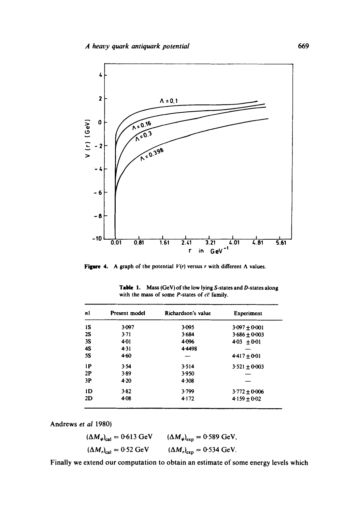

**Figure 4.** A graph of the potential  $V(r)$  versus r with different A values.

| nl | Present model | Richardson's value | Experiment        |
|----|---------------|--------------------|-------------------|
| 1S | 3-097         | $3 - 095$          | $3.097 \pm 0.001$ |
| 2S | 3.71          | 3.684              | $3.686 + 0.003$   |
| 3S | $4 - 01$      | 4.096              | $4.03 + 0.01$     |
| 4S | 4.31          | 4.4498             |                   |
| 5S | 4.60          |                    | $4.417 + 0.01$    |
| 1P | 3.54          | 3.514              | $3.521 \pm 0.003$ |
| 2P | 3.89          | 3.950              |                   |
| 3P | 4.20          | 4.308              |                   |
| ID | 3.82          | 3.799              | $3.772 \pm 0.006$ |
| 2D | $4-08$        | 4.172              | $4.159 + 0.02$    |

|                                                      | <b>Table 1.</b> Mass $(GeV)$ of the low lying S-states and D-states along |  |
|------------------------------------------------------|---------------------------------------------------------------------------|--|
| with the mass of some P-states of $c\bar{c}$ family. |                                                                           |  |

Andrews *et al* 1980)

$$
(\Delta M_{\psi})_{\text{cal}} = 0.613 \text{ GeV} \qquad (\Delta M_{\psi})_{\text{exp}} = 0.589 \text{ GeV},
$$
  

$$
(\Delta M_{r})_{\text{cal}} = 0.52 \text{ GeV} \qquad (\Delta M_{r})_{\text{exp}} = 0.534 \text{ GeV}.
$$

Finally we extend our computation to obtain an estimate of some energy levels which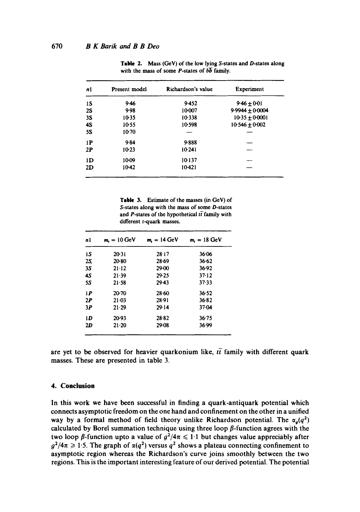| nl        | Present model | Richardson's value | Experiment        |
|-----------|---------------|--------------------|-------------------|
| 1S        | $9-46$        | 9.452              | $9.46 + 0.01$     |
| <b>2S</b> | 9.98          | 10007              | $9.9944 + 0.0004$ |
| <b>3S</b> | 1035          | 10338              | $10-35 + 0-0001$  |
| 4S        | 10.55         | 10.598             | $10-546 + 0.002$  |
| <b>5S</b> | 10.70         |                    |                   |
| 1P        | 9.84          | 9.888              |                   |
| 2P        | 10-23         | 10.241             |                   |
| 1D        | 10.09         | 10-137             |                   |
| 2D        | 10-42         | 10-421             |                   |

**Table** 2. Mass (GeV) of the low lying S-states and D-states along with the mass of some *P*-states of  $b\overline{b}$  family.

Table 3. Estimate of the masses (in GeV) of S-states along with the mass of some D-states and P-states of the hypothetical  $t\bar{t}$  family with different t-quark masses.

| $m_{\rm r} = 10 \,\rm GeV$ | $m_{\rm r} = 14 \,\rm GeV$ | $m_{\rm t} = 18 \,\mathrm{GeV}$ |
|----------------------------|----------------------------|---------------------------------|
| 20-31                      | 28.17                      | 36.06                           |
| 20-80                      | $28-69$                    | 36.62                           |
| $21 - 12$                  | 29-00                      | 36.92                           |
| 21.39                      | 29.25                      | 37.12                           |
| $21 - 58$                  | $29 - 43$                  | 37.33                           |
| 20.70                      | $28 - 60$                  | 36.52                           |
| $21-03$                    | 28.91                      | 36.82                           |
| 21.29                      | 29.14                      | 37.04                           |
| 20-93                      | 28.82                      | $36 - 75$                       |
| $21 - 20$                  | $29 - 08$                  | 36.99                           |
|                            |                            |                                 |

are yet to be observed for heavier quarkonium like,  $t\bar{t}$  family with different quark masses. These are presented in table 3.

### **4. Conclusion**

In this work we have been successful in finding a quark-antiquark potential which connects asymptotic freedom on the one hand and confinement on the other in a unified way by a formal method of field theory unlike Richardson potential. The  $\alpha_q(q^2)$ calculated by Borel summation technique using three loop  $\beta$ -function agrees with the two loop  $\beta$ -function upto a value of  $g^2/4\pi \leq 1.1$  but changes value appreciably after  $g^2/4\pi \geq 1.5$ . The graph of  $\alpha(q^2)$  versus  $q^2$  shows a plateau connecting confinement to asymptotic region whereas the Richardson's curve joins smoothly between the two regions. This is the important interesting feature of our derived potential. The potential